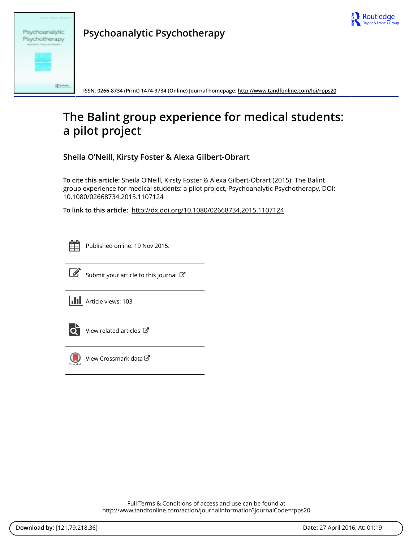

| <b>CONTRACTOR</b><br>Psychoanalytic                 |
|-----------------------------------------------------|
| Psychotherapy<br>Applications, Theory and Newsarth. |
|                                                     |
| <b>Records</b>                                      |

**ISSN: 0266-8734 (Print) 1474-9734 (Online) Journal homepage:<http://www.tandfonline.com/loi/rpps20>**

# **The Balint group experience for medical students: a pilot project**

**Sheila O'Neill, Kirsty Foster & Alexa Gilbert-Obrart**

**To cite this article:** Sheila O'Neill, Kirsty Foster & Alexa Gilbert-Obrart (2015): The Balint group experience for medical students: a pilot project, Psychoanalytic Psychotherapy, DOI: [10.1080/02668734.2015.1107124](http://www.tandfonline.com/action/showCitFormats?doi=10.1080/02668734.2015.1107124)

**To link to this article:** <http://dx.doi.org/10.1080/02668734.2015.1107124>



Published online: 19 Nov 2015.



 $\overrightarrow{S}$  [Submit your article to this journal](http://www.tandfonline.com/action/authorSubmission?journalCode=rpps20&page=instructions)  $\overrightarrow{S}$ 

**III** Article views: 103



 $\overrightarrow{Q}$  [View related articles](http://www.tandfonline.com/doi/mlt/10.1080/02668734.2015.1107124)  $\overrightarrow{C}$ 



[View Crossmark data](http://crossmark.crossref.org/dialog/?doi=10.1080/02668734.2015.1107124&domain=pdf&date_stamp=2015-11-19)<sup>で</sup>

Full Terms & Conditions of access and use can be found at <http://www.tandfonline.com/action/journalInformation?journalCode=rpps20>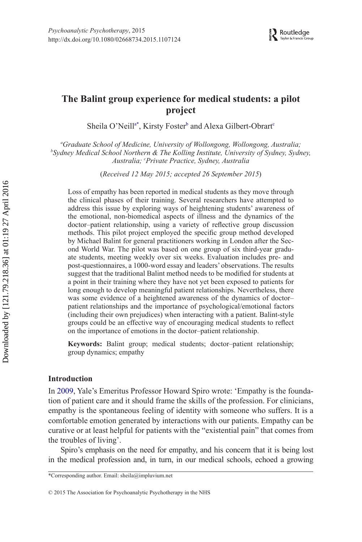# **The Balint group experience for medical students: a pilot project**

<span id="page-1-2"></span>Shei[la](#page-1-0) O'Neill<sup>a[\\*](#page-1-1)</sup>, Kirsty Foster<sup>b</sup> and Alexa Gilbert-Obrart<sup>c</sup>

<span id="page-1-0"></span>*a Graduate School of Medicine, University of Wollongong, Wollongong, Australia; b Sydney Medical School Northern & The Kolling Institute, University of Sydney, Sydney, Australia; c Private Practice, Sydney, Australia*

<span id="page-1-3"></span>(*Received 12 May 2015; accepted 26 September 2015*)

Loss of empathy has been reported in medical students as they move through the clinical phases of their training. Several researchers have attempted to address this issue by exploring ways of heightening students' awareness of the emotional, non-biomedical aspects of illness and the dynamics of the doctor–patient relationship, using a variety of reflective group discussion methods. This pilot project employed the specific group method developed by Michael Balint for general practitioners working in London after the Second World War. The pilot was based on one group of six third-year graduate students, meeting weekly over six weeks. Evaluation includes pre- and post-questionnaires, a 1000-word essay and leaders' observations. The results suggest that the traditional Balint method needs to be modified for students at a point in their training where they have not yet been exposed to patients for long enough to develop meaningful patient relationships. Nevertheless, there was some evidence of a heightened awareness of the dynamics of doctor– patient relationships and the importance of psychological/emotional factors (including their own prejudices) when interacting with a patient. Balint-style groups could be an effective way of encouraging medical students to reflect on the importance of emotions in the doctor–patient relationship.

**Keywords:** Balint group; medical students; doctor–patient relationship; group dynamics; empathy

## **Introduction**

In [2009,](#page-13-0) Yale's Emeritus Professor Howard Spiro wrote: 'Empathy is the foundation of patient care and it should frame the skills of the profession. For clinicians, empathy is the spontaneous feeling of identity with someone who suffers. It is a comfortable emotion generated by interactions with our patients. Empathy can be curative or at least helpful for patients with the "existential pain" that comes from the troubles of living'.

Spiro's emphasis on the need for empathy, and his concern that it is being lost in the medical profession and, in turn, in our medical schools, echoed a growing

<span id="page-1-1"></span><sup>\*</sup>Corresponding author. Email: [sheila@impluvium.net](mailto:sheila@impluvium.net)

<sup>© 2015</sup> The Association for Psychoanalytic Psychotherapy in the NHS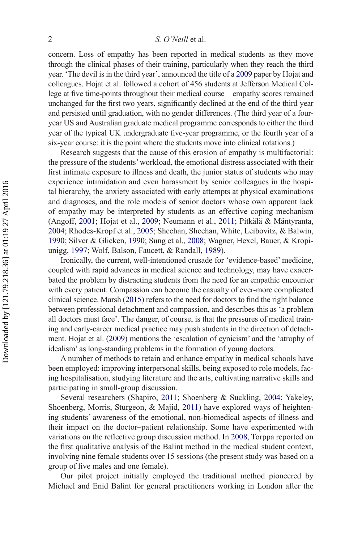## 2 *S. O'Neill* et al.

concern. Loss of empathy has been reported in medical students as they move through the clinical phases of their training, particularly when they reach the third year. 'The devil is in the third year', announced the title of a [2009](#page-12-0) paper by Hojat and colleagues. Hojat et al. followed a cohort of 456 students at Jefferson Medical College at five time-points throughout their medical course – empathy scores remained unchanged for the first two years, significantly declined at the end of the third year and persisted until graduation, with no gender differences. (The third year of a fouryear US and Australian graduate medical programme corresponds to either the third year of the typical UK undergraduate five-year programme, or the fourth year of a six-year course: it is the point where the students move into clinical rotations.)

Research suggests that the cause of this erosion of empathy is multifactorial: the pressure of the students' workload, the emotional distress associated with their first intimate exposure to illness and death, the junior status of students who may experience intimidation and even harassment by senior colleagues in the hospital hierarchy, the anxiety associated with early attempts at physical examinations and diagnoses, and the role models of senior doctors whose own apparent lack of empathy may be interpreted by students as an effective coping mechanism (Angoff, [2001;](#page-12-1) Hojat et al., [2009;](#page-12-0) Neumann et al., [2011;](#page-12-2) Pitkälä & Mäntyranta, [2004;](#page-13-1) Rhodes-Kropf et al., [2005](#page-13-2); Sheehan, Sheehan, White, Leibovitz, & Balwin, [1990;](#page-13-3) Silver & Glicken, [1990;](#page-13-4) Sung et al., [2008](#page-13-5); Wagner, Hexel, Bauer, & Kropiunigg, [1997;](#page-13-6) Wolf, Balson, Faucett, & Randall, [1989](#page-13-7)).

Ironically, the current, well-intentioned crusade for 'evidence-based' medicine, coupled with rapid advances in medical science and technology, may have exacerbated the problem by distracting students from the need for an empathic encounter with every patient. Compassion can become the casualty of ever-more complicated clinical science. Marsh [\(2015](#page-12-3)) refers to the need for doctors to find the right balance between professional detachment and compassion, and describes this as 'a problem all doctors must face'. The danger, of course, is that the pressures of medical training and early-career medical practice may push students in the direction of detachment. Hojat et al. [\(2009\)](#page-12-0) mentions the 'escalation of cynicism' and the 'atrophy of idealism' as long-standing problems in the formation of young doctors.

A number of methods to retain and enhance empathy in medical schools have been employed: improving interpersonal skills, being exposed to role models, facing hospitalisation, studying literature and the arts, cultivating narrative skills and participating in small-group discussion.

Several researchers (Shapiro, [2011;](#page-13-8) Shoenberg & Suckling, [2004;](#page-13-9) Yakeley, Shoenberg, Morris, Sturgeon, & Majid, [2011\)](#page-13-10) have explored ways of heightening students' awareness of the emotional, non-biomedical aspects of illness and their impact on the doctor–patient relationship. Some have experimented with variations on the reflective group discussion method. In [2008](#page-13-11), Torppa reported on the first qualitative analysis of the Balint method in the medical student context, involving nine female students over 15 sessions (the present study was based on a group of five males and one female).

Our pilot project initially employed the traditional method pioneered by Michael and Enid Balint for general practitioners working in London after the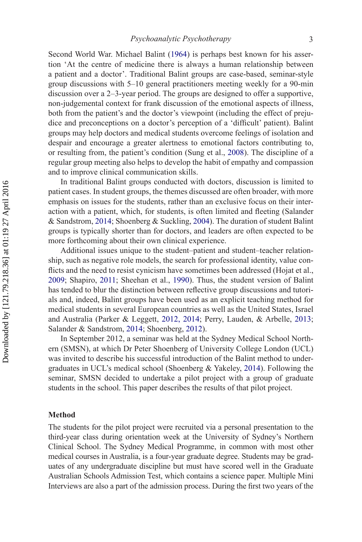Second World War. Michael Balint ([1964\)](#page-12-4) is perhaps best known for his assertion 'At the centre of medicine there is always a human relationship between a patient and a doctor'. Traditional Balint groups are case-based, seminar-style group discussions with 5–10 general practitioners meeting weekly for a 90-min discussion over a 2–3-year period. The groups are designed to offer a supportive, non-judgemental context for frank discussion of the emotional aspects of illness, both from the patient's and the doctor's viewpoint (including the effect of prejudice and preconceptions on a doctor's perception of a 'difficult' patient). Balint groups may help doctors and medical students overcome feelings of isolation and despair and encourage a greater alertness to emotional factors contributing to, or resulting from, the patient's condition (Sung et al., [2008](#page-13-5)). The discipline of a regular group meeting also helps to develop the habit of empathy and compassion and to improve clinical communication skills.

In traditional Balint groups conducted with doctors, discussion is limited to patient cases. In student groups, the themes discussed are often broader, with more emphasis on issues for the students, rather than an exclusive focus on their interaction with a patient, which, for students, is often limited and fleeting (Salander & Sandstrom, [2014](#page-13-12); Shoenberg & Suckling, [2004](#page-13-9)). The duration of student Balint groups is typically shorter than for doctors, and leaders are often expected to be more forthcoming about their own clinical experience.

Additional issues unique to the student–patient and student–teacher relationship, such as negative role models, the search for professional identity, value conflicts and the need to resist cynicism have sometimes been addressed (Hojat et al., [2009;](#page-12-0) Shapiro, [2011;](#page-13-8) Sheehan et al., [1990](#page-13-3)). Thus, the student version of Balint has tended to blur the distinction between reflective group discussions and tutorials and, indeed, Balint groups have been used as an explicit teaching method for medical students in several European countries as well as the United States, Israel and Australia (Parker & Leggett, [2012, 2014;](#page-12-5) Perry, Lauden, & Arbelle, [2013](#page-13-13); Salander & Sandstrom, [2014;](#page-13-12) Shoenberg, [2012](#page-13-14)).

In September 2012, a seminar was held at the Sydney Medical School Northern (SMSN), at which Dr Peter Shoenberg of University College London (UCL) was invited to describe his successful introduction of the Balint method to undergraduates in UCL's medical school (Shoenberg & Yakeley, [2014](#page-13-15)). Following the seminar, SMSN decided to undertake a pilot project with a group of graduate students in the school. This paper describes the results of that pilot project.

#### **Method**

The students for the pilot project were recruited via a personal presentation to the third-year class during orientation week at the University of Sydney's Northern Clinical School. The Sydney Medical Programme, in common with most other medical courses in Australia, is a four-year graduate degree. Students may be graduates of any undergraduate discipline but must have scored well in the Graduate Australian Schools Admission Test, which contains a science paper. Multiple Mini Interviews are also a part of the admission process. During the first two years of the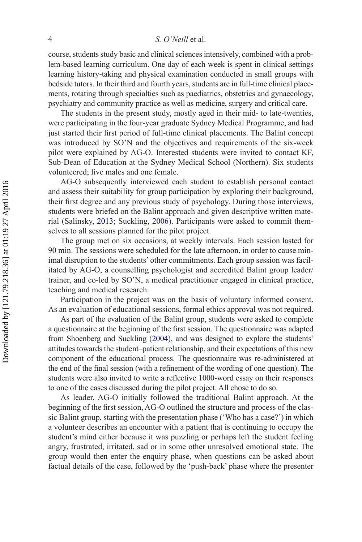## 4 *S. O'Neill* et al.

course, students study basic and clinical sciences intensively, combined with a problem-based learning curriculum. One day of each week is spent in clinical settings learning history-taking and physical examination conducted in small groups with bedside tutors. In their third and fourth years, students are in full-time clinical placements, rotating through specialties such as paediatrics, obstetrics and gynaecology, psychiatry and community practice as well as medicine, surgery and critical care.

The students in the present study, mostly aged in their mid- to late-twenties, were participating in the four-year graduate Sydney Medical Programme, and had just started their first period of full-time clinical placements. The Balint concept was introduced by SO'N and the objectives and requirements of the six-week pilot were explained by AG-O. Interested students were invited to contact KF, Sub-Dean of Education at the Sydney Medical School (Northern). Six students volunteered; five males and one female.

AG-O subsequently interviewed each student to establish personal contact and assess their suitability for group participation by exploring their background, their first degree and any previous study of psychology. During those interviews, students were briefed on the Balint approach and given descriptive written material (Salinsky, [2013;](#page-13-16) Suckling, [2006](#page-13-17)). Participants were asked to commit themselves to all sessions planned for the pilot project.

The group met on six occasions, at weekly intervals. Each session lasted for 90 min. The sessions were scheduled for the late afternoon, in order to cause minimal disruption to the students' other commitments. Each group session was facilitated by AG-O, a counselling psychologist and accredited Balint group leader/ trainer, and co-led by SO'N, a medical practitioner engaged in clinical practice, teaching and medical research.

Participation in the project was on the basis of voluntary informed consent. As an evaluation of educational sessions, formal ethics approval was not required.

As part of the evaluation of the Balint group, students were asked to complete a questionnaire at the beginning of the first session. The questionnaire was adapted from Shoenberg and Suckling ([2004](#page-13-9)), and was designed to explore the students' attitudes towards the student–patient relationship, and their expectations of this new component of the educational process. The questionnaire was re-administered at the end of the final session (with a refinement of the wording of one question). The students were also invited to write a reflective 1000-word essay on their responses to one of the cases discussed during the pilot project. All chose to do so.

As leader, AG-O initially followed the traditional Balint approach. At the beginning of the first session, AG-O outlined the structure and process of the classic Balint group, starting with the presentation phase ('Who has a case?') in which a volunteer describes an encounter with a patient that is continuing to occupy the student's mind either because it was puzzling or perhaps left the student feeling angry, frustrated, irritated, sad or in some other unresolved emotional state. The group would then enter the enquiry phase, when questions can be asked about factual details of the case, followed by the 'push-back' phase where the presenter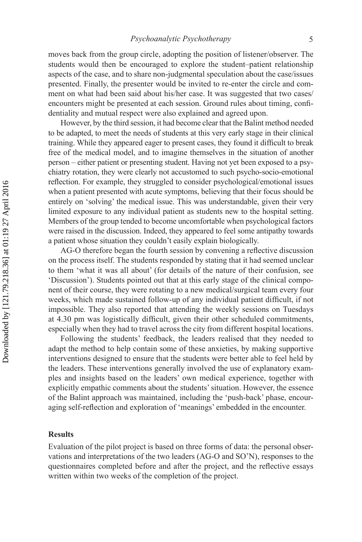moves back from the group circle, adopting the position of listener/observer. The students would then be encouraged to explore the student–patient relationship aspects of the case, and to share non-judgmental speculation about the case/issues presented. Finally, the presenter would be invited to re-enter the circle and comment on what had been said about his/her case. It was suggested that two cases/ encounters might be presented at each session. Ground rules about timing, confidentiality and mutual respect were also explained and agreed upon.

However, by the third session, it had become clear that the Balint method needed to be adapted, to meet the needs of students at this very early stage in their clinical training. While they appeared eager to present cases, they found it difficult to break free of the medical model, and to imagine themselves in the situation of another person – either patient or presenting student. Having not yet been exposed to a psychiatry rotation, they were clearly not accustomed to such psycho-socio-emotional reflection. For example, they struggled to consider psychological/emotional issues when a patient presented with acute symptoms, believing that their focus should be entirely on 'solving' the medical issue. This was understandable, given their very limited exposure to any individual patient as students new to the hospital setting. Members of the group tended to become uncomfortable when psychological factors were raised in the discussion. Indeed, they appeared to feel some antipathy towards a patient whose situation they couldn't easily explain biologically.

AG-O therefore began the fourth session by convening a reflective discussion on the process itself. The students responded by stating that it had seemed unclear to them 'what it was all about' (for details of the nature of their confusion, see 'Discussion'). Students pointed out that at this early stage of the clinical component of their course, they were rotating to a new medical/surgical team every four weeks, which made sustained follow-up of any individual patient difficult, if not impossible. They also reported that attending the weekly sessions on Tuesdays at 4.30 pm was logistically difficult, given their other scheduled commitments, especially when they had to travel across the city from different hospital locations.

Following the students' feedback, the leaders realised that they needed to adapt the method to help contain some of these anxieties, by making supportive interventions designed to ensure that the students were better able to feel held by the leaders. These interventions generally involved the use of explanatory examples and insights based on the leaders' own medical experience, together with explicitly empathic comments about the students' situation. However, the essence of the Balint approach was maintained, including the 'push-back' phase, encouraging self-reflection and exploration of 'meanings' embedded in the encounter.

#### **Results**

Evaluation of the pilot project is based on three forms of data: the personal observations and interpretations of the two leaders (AG-O and SO'N), responses to the questionnaires completed before and after the project, and the reflective essays written within two weeks of the completion of the project.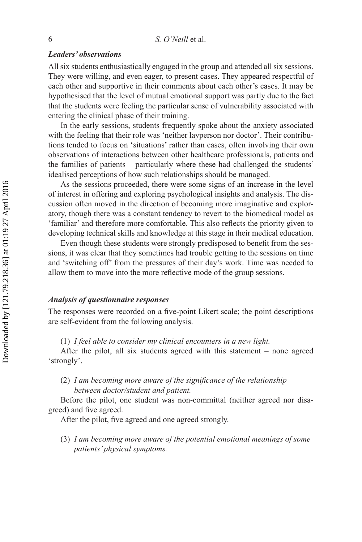## 6 *S. O'Neill* et al.

## *Leaders' observations*

All six students enthusiastically engaged in the group and attended all six sessions. They were willing, and even eager, to present cases. They appeared respectful of each other and supportive in their comments about each other's cases. It may be hypothesised that the level of mutual emotional support was partly due to the fact that the students were feeling the particular sense of vulnerability associated with entering the clinical phase of their training.

In the early sessions, students frequently spoke about the anxiety associated with the feeling that their role was 'neither layperson nor doctor'. Their contributions tended to focus on 'situations' rather than cases, often involving their own observations of interactions between other healthcare professionals, patients and the families of patients – particularly where these had challenged the students' idealised perceptions of how such relationships should be managed.

As the sessions proceeded, there were some signs of an increase in the level of interest in offering and exploring psychological insights and analysis. The discussion often moved in the direction of becoming more imaginative and exploratory, though there was a constant tendency to revert to the biomedical model as 'familiar' and therefore more comfortable. This also reflects the priority given to developing technical skills and knowledge at this stage in their medical education.

Even though these students were strongly predisposed to benefit from the sessions, it was clear that they sometimes had trouble getting to the sessions on time and 'switching off' from the pressures of their day's work. Time was needed to allow them to move into the more reflective mode of the group sessions.

## *Analysis of questionnaire responses*

The responses were recorded on a five-point Likert scale; the point descriptions are self-evident from the following analysis.

(1) *I feel able to consider my clinical encounters in a new light.*

After the pilot, all six students agreed with this statement – none agreed 'strongly'.

(2) *I am becoming more aware of the significance of the relationship between doctor/student and patient.*

Before the pilot, one student was non-committal (neither agreed nor disagreed) and five agreed.

After the pilot, five agreed and one agreed strongly.

(3) *I am becoming more aware of the potential emotional meanings of some patients' physical symptoms.*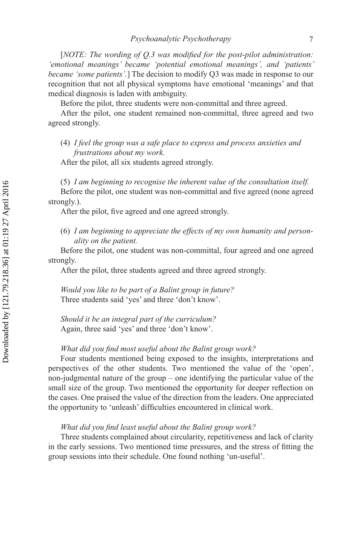[*NOTE: The wording of Q.3 was modified for the post*-*pilot administration: 'emotional meanings' became 'potential emotional meanings', and 'patients' became 'some patients'.*] The decision to modify Q3 was made in response to our recognition that not all physical symptoms have emotional 'meanings' and that medical diagnosis is laden with ambiguity.

Before the pilot, three students were non-committal and three agreed.

After the pilot, one student remained non-committal, three agreed and two agreed strongly.

(4) *I feel the group was a safe place to express and process anxieties and frustrations about my work.*

After the pilot, all six students agreed strongly.

(5) *I am beginning to recognise the inherent value of the consultation itself.* Before the pilot, one student was non-committal and five agreed (none agreed strongly.).

After the pilot, five agreed and one agreed strongly.

(6) *I am beginning to appreciate the effects of my own humanity and personality on the patient.*

Before the pilot, one student was non-committal, four agreed and one agreed strongly.

After the pilot, three students agreed and three agreed strongly.

*Would you like to be part of a Balint group in future?* Three students said 'yes' and three 'don't know'.

*Should it be an integral part of the curriculum?* Again, three said 'yes' and three 'don't know'.

## *What did you find most useful about the Balint group work?*

Four students mentioned being exposed to the insights, interpretations and perspectives of the other students. Two mentioned the value of the 'open', non-judgmental nature of the group – one identifying the particular value of the small size of the group. Two mentioned the opportunity for deeper reflection on the cases. One praised the value of the direction from the leaders. One appreciated the opportunity to 'unleash' difficulties encountered in clinical work.

#### *What did you find least useful about the Balint group work?*

Three students complained about circularity, repetitiveness and lack of clarity in the early sessions. Two mentioned time pressures, and the stress of fitting the group sessions into their schedule. One found nothing 'un-useful'.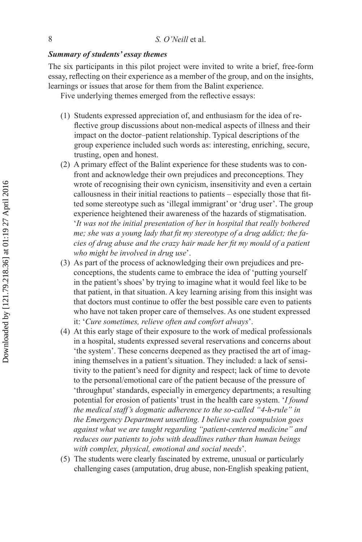## *Summary of students' essay themes*

The six participants in this pilot project were invited to write a brief, free-form essay, reflecting on their experience as a member of the group, and on the insights, learnings or issues that arose for them from the Balint experience.

Five underlying themes emerged from the reflective essays:

- (1) Students expressed appreciation of, and enthusiasm for the idea of reflective group discussions about non-medical aspects of illness and their impact on the doctor–patient relationship. Typical descriptions of the group experience included such words as: interesting, enriching, secure, trusting, open and honest.
- (2) A primary effect of the Balint experience for these students was to confront and acknowledge their own prejudices and preconceptions. They wrote of recognising their own cynicism, insensitivity and even a certain callousness in their initial reactions to patients – especially those that fitted some stereotype such as 'illegal immigrant' or 'drug user'. The group experience heightened their awareness of the hazards of stigmatisation. '*It was not the initial presentation of her in hospital that really bothered me; she was a young lady that fit my stereotype of a drug addict; the facies of drug abuse and the crazy hair made her fit my mould of a patient who might be involved in drug use*'.
- (3) As part of the process of acknowledging their own prejudices and preconceptions, the students came to embrace the idea of 'putting yourself in the patient's shoes' by trying to imagine what it would feel like to be that patient, in that situation. A key learning arising from this insight was that doctors must continue to offer the best possible care even to patients who have not taken proper care of themselves. As one student expressed it: '*Cure sometimes, relieve often and comfort always*'.
- (4) At this early stage of their exposure to the work of medical professionals in a hospital, students expressed several reservations and concerns about 'the system'. These concerns deepened as they practised the art of imagining themselves in a patient's situation. They included: a lack of sensitivity to the patient's need for dignity and respect; lack of time to devote to the personal/emotional care of the patient because of the pressure of 'throughput' standards, especially in emergency departments; a resulting potential for erosion of patients' trust in the health care system. '*I found the medical staff's dogmatic adherence to the so*-*called "4*-*h*-*rule" in the Emergency Department unsettling. I believe such compulsion goes against what we are taught regarding "patient*-*centered medicine" and reduces our patients to jobs with deadlines rather than human beings with complex, physical, emotional and social needs*'.
- (5) The students were clearly fascinated by extreme, unusual or particularly challenging cases (amputation, drug abuse, non-English speaking patient,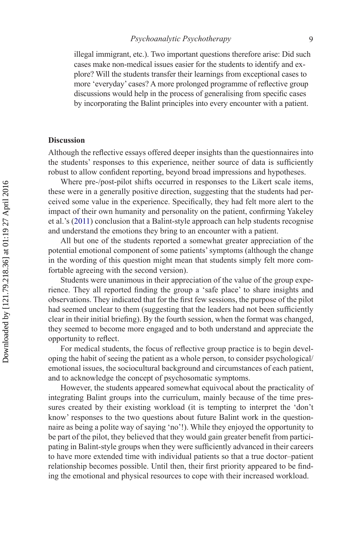illegal immigrant, etc.). Two important questions therefore arise: Did such cases make non-medical issues easier for the students to identify and explore? Will the students transfer their learnings from exceptional cases to more 'everyday' cases? A more prolonged programme of reflective group discussions would help in the process of generalising from specific cases by incorporating the Balint principles into every encounter with a patient.

#### **Discussion**

Although the reflective essays offered deeper insights than the questionnaires into the students' responses to this experience, neither source of data is sufficiently robust to allow confident reporting, beyond broad impressions and hypotheses.

Where pre-/post-pilot shifts occurred in responses to the Likert scale items, these were in a generally positive direction, suggesting that the students had perceived some value in the experience. Specifically, they had felt more alert to the impact of their own humanity and personality on the patient, confirming Yakeley et al.'s ([2011](#page-13-10)) conclusion that a Balint-style approach can help students recognise and understand the emotions they bring to an encounter with a patient.

All but one of the students reported a somewhat greater appreciation of the potential emotional component of some patients' symptoms (although the change in the wording of this question might mean that students simply felt more comfortable agreeing with the second version).

Students were unanimous in their appreciation of the value of the group experience. They all reported finding the group a 'safe place' to share insights and observations. They indicated that for the first few sessions, the purpose of the pilot had seemed unclear to them (suggesting that the leaders had not been sufficiently clear in their initial briefing). By the fourth session, when the format was changed, they seemed to become more engaged and to both understand and appreciate the opportunity to reflect.

For medical students, the focus of reflective group practice is to begin developing the habit of seeing the patient as a whole person, to consider psychological/ emotional issues, the sociocultural background and circumstances of each patient, and to acknowledge the concept of psychosomatic symptoms.

However, the students appeared somewhat equivocal about the practicality of integrating Balint groups into the curriculum, mainly because of the time pressures created by their existing workload (it is tempting to interpret the 'don't know' responses to the two questions about future Balint work in the questionnaire as being a polite way of saying 'no'!). While they enjoyed the opportunity to be part of the pilot, they believed that they would gain greater benefit from participating in Balint-style groups when they were sufficiently advanced in their careers to have more extended time with individual patients so that a true doctor–patient relationship becomes possible. Until then, their first priority appeared to be finding the emotional and physical resources to cope with their increased workload.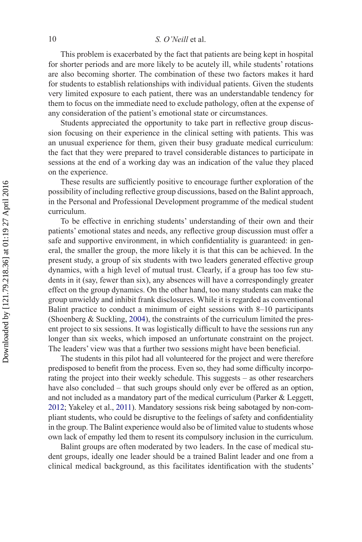This problem is exacerbated by the fact that patients are being kept in hospital for shorter periods and are more likely to be acutely ill, while students' rotations are also becoming shorter. The combination of these two factors makes it hard for students to establish relationships with individual patients. Given the students very limited exposure to each patient, there was an understandable tendency for them to focus on the immediate need to exclude pathology, often at the expense of any consideration of the patient's emotional state or circumstances.

Students appreciated the opportunity to take part in reflective group discussion focusing on their experience in the clinical setting with patients. This was an unusual experience for them, given their busy graduate medical curriculum: the fact that they were prepared to travel considerable distances to participate in sessions at the end of a working day was an indication of the value they placed on the experience.

These results are sufficiently positive to encourage further exploration of the possibility of including reflective group discussions, based on the Balint approach, in the Personal and Professional Development programme of the medical student curriculum.

To be effective in enriching students' understanding of their own and their patients' emotional states and needs, any reflective group discussion must offer a safe and supportive environment, in which confidentiality is guaranteed: in general, the smaller the group, the more likely it is that this can be achieved. In the present study, a group of six students with two leaders generated effective group dynamics, with a high level of mutual trust. Clearly, if a group has too few students in it (say, fewer than six), any absences will have a correspondingly greater effect on the group dynamics. On the other hand, too many students can make the group unwieldy and inhibit frank disclosures. While it is regarded as conventional Balint practice to conduct a minimum of eight sessions with 8–10 participants (Shoenberg & Suckling, [2004\)](#page-13-9), the constraints of the curriculum limited the present project to six sessions. It was logistically difficult to have the sessions run any longer than six weeks, which imposed an unfortunate constraint on the project. The leaders' view was that a further two sessions might have been beneficial.

The students in this pilot had all volunteered for the project and were therefore predisposed to benefit from the process. Even so, they had some difficulty incorporating the project into their weekly schedule. This suggests – as other researchers have also concluded – that such groups should only ever be offered as an option, and not included as a mandatory part of the medical curriculum (Parker & Leggett, [2012;](#page-12-5) Yakeley et al., [2011](#page-13-10)). Mandatory sessions risk being sabotaged by non-compliant students, who could be disruptive to the feelings of safety and confidentiality in the group. The Balint experience would also be of limited value to students whose own lack of empathy led them to resent its compulsory inclusion in the curriculum.

Balint groups are often moderated by two leaders. In the case of medical student groups, ideally one leader should be a trained Balint leader and one from a clinical medical background, as this facilitates identification with the students'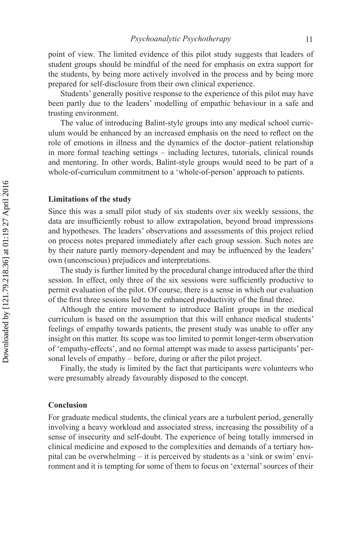point of view. The limited evidence of this pilot study suggests that leaders of student groups should be mindful of the need for emphasis on extra support for the students, by being more actively involved in the process and by being more prepared for self-disclosure from their own clinical experience.

Students' generally positive response to the experience of this pilot may have been partly due to the leaders' modelling of empathic behaviour in a safe and trusting environment.

The value of introducing Balint-style groups into any medical school curriculum would be enhanced by an increased emphasis on the need to reflect on the role of emotions in illness and the dynamics of the doctor–patient relationship in more formal teaching settings – including lectures, tutorials, clinical rounds and mentoring. In other words, Balint-style groups would need to be part of a whole-of-curriculum commitment to a 'whole-of-person' approach to patients.

#### **Limitations of the study**

Since this was a small pilot study of six students over six weekly sessions, the data are insufficiently robust to allow extrapolation, beyond broad impressions and hypotheses. The leaders' observations and assessments of this project relied on process notes prepared immediately after each group session. Such notes are by their nature partly memory-dependent and may be influenced by the leaders' own (unconscious) prejudices and interpretations.

The study is further limited by the procedural change introduced after the third session. In effect, only three of the six sessions were sufficiently productive to permit evaluation of the pilot. Of course, there is a sense in which our evaluation of the first three sessions led to the enhanced productivity of the final three.

Although the entire movement to introduce Balint groups in the medical curriculum is based on the assumption that this will enhance medical students' feelings of empathy towards patients, the present study was unable to offer any insight on this matter. Its scope was too limited to permit longer-term observation of 'empathy-effects', and no formal attempt was made to assess participants' personal levels of empathy – before, during or after the pilot project.

Finally, the study is limited by the fact that participants were volunteers who were presumably already favourably disposed to the concept.

#### **Conclusion**

For graduate medical students, the clinical years are a turbulent period, generally involving a heavy workload and associated stress, increasing the possibility of a sense of insecurity and self-doubt. The experience of being totally immersed in clinical medicine and exposed to the complexities and demands of a tertiary hospital can be overwhelming – it is perceived by students as a 'sink or swim' environment and it is tempting for some of them to focus on 'external' sources of their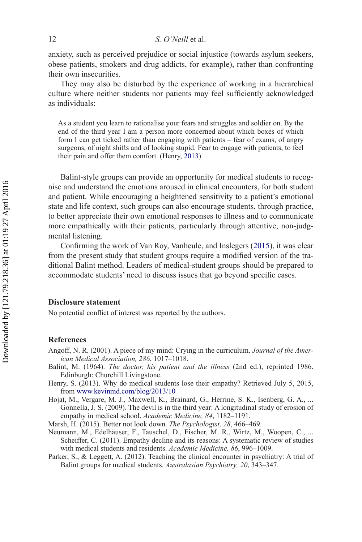anxiety, such as perceived prejudice or social injustice (towards asylum seekers, obese patients, smokers and drug addicts, for example), rather than confronting their own insecurities.

They may also be disturbed by the experience of working in a hierarchical culture where neither students nor patients may feel sufficiently acknowledged as individuals:

As a student you learn to rationalise your fears and struggles and soldier on. By the end of the third year I am a person more concerned about which boxes of which form I can get ticked rather than engaging with patients – fear of exams, of angry surgeons, of night shifts and of looking stupid. Fear to engage with patients, to feel their pain and offer them comfort. (Henry, [2013\)](#page-12-6)

Balint-style groups can provide an opportunity for medical students to recognise and understand the emotions aroused in clinical encounters, for both student and patient. While encouraging a heightened sensitivity to a patient's emotional state and life context, such groups can also encourage students, through practice, to better appreciate their own emotional responses to illness and to communicate more empathically with their patients, particularly through attentive, non-judgmental listening.

Confirming the work of Van Roy, Vanheule, and Inslegers ([2015\)](#page-13-18), it was clear from the present study that student groups require a modified version of the traditional Balint method. Leaders of medical-student groups should be prepared to accommodate students' need to discuss issues that go beyond specific cases.

#### **Disclosure statement**

No potential conflict of interest was reported by the authors.

### **References**

- <span id="page-12-1"></span>Angoff, N. R. (2001). A piece of my mind: Crying in the curriculum. *Journal of the American Medical Association, 286*, 1017–1018.
- <span id="page-12-4"></span>Balint, M. (1964). *The doctor, his patient and the illness* (2nd ed.), reprinted 1986. Edinburgh: Churchill Livingstone.
- <span id="page-12-6"></span>Henry, S. (2013). Why do medical students lose their empathy? Retrieved July 5, 2015, from [www.kevinmd.com/blog/2013/10](http://www.kevinmd.com/blog/2013/10)
- <span id="page-12-0"></span>Hojat, M., Vergare, M. J., Maxwell, K., Brainard, G., Herrine, S. K., Isenberg, G. A., ... Gonnella, J. S. (2009). The devil is in the third year: A longitudinal study of erosion of empathy in medical school. *Academic Medicine, 84*, 1182–1191.
- <span id="page-12-3"></span>Marsh, H. (2015). Better not look down. *The Psychologist, 28*, 466–469.
- <span id="page-12-2"></span>Neumann, M., Edelhäuser, F., Tauschel, D., Fischer, M. R., Wirtz, M., Woopen, C., ... Scheiffer, C. (2011). Empathy decline and its reasons: A systematic review of studies with medical students and residents. *Academic Medicine, 86*, 996–1009.
- <span id="page-12-5"></span>Parker, S., & Leggett, A. (2012). Teaching the clinical encounter in psychiatry: A trial of Balint groups for medical students. *Australasian Psychiatry, 20*, 343–347.